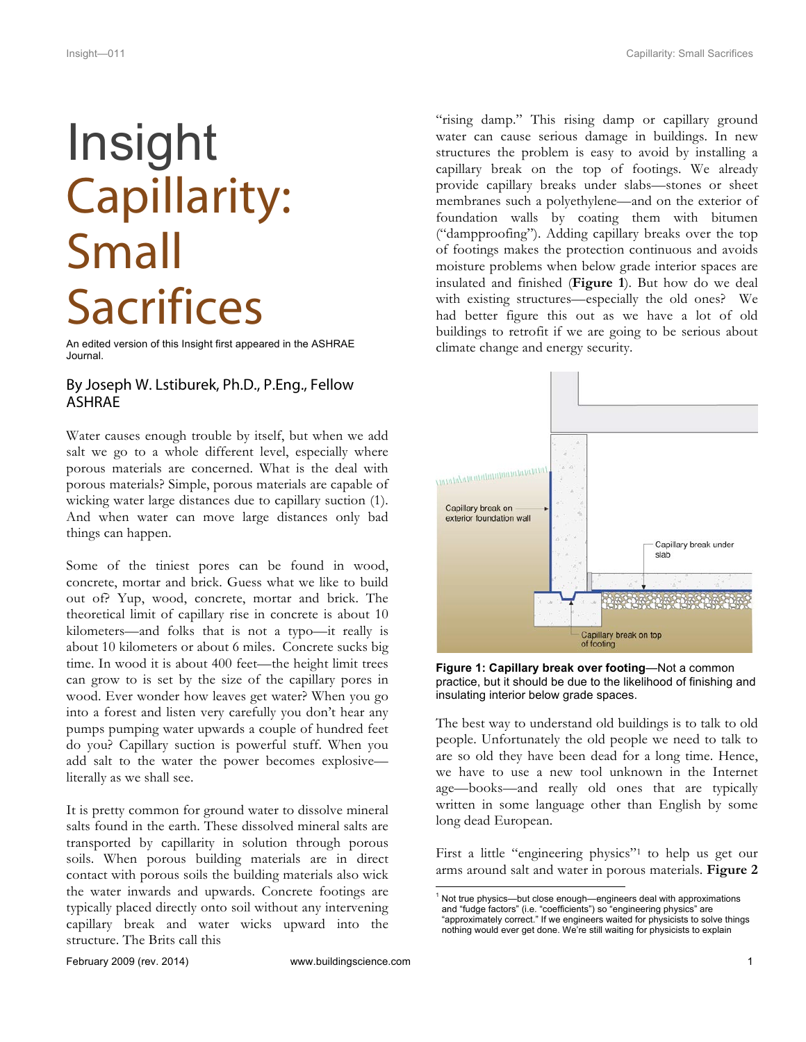## Insight Capillarity: Small **Sacrifices**

An edited version of this Insight first appeared in the ASHRAE Journal.

## By Joseph W. Lstiburek, Ph.D., P.Eng., Fellow ASHRAE

Water causes enough trouble by itself, but when we add salt we go to a whole different level, especially where porous materials are concerned. What is the deal with porous materials? Simple, porous materials are capable of wicking water large distances due to capillary suction (1). And when water can move large distances only bad things can happen.

Some of the tiniest pores can be found in wood, concrete, mortar and brick. Guess what we like to build out of? Yup, wood, concrete, mortar and brick. The theoretical limit of capillary rise in concrete is about 10 kilometers—and folks that is not a typo—it really is about 10 kilometers or about 6 miles. Concrete sucks big time. In wood it is about 400 feet—the height limit trees can grow to is set by the size of the capillary pores in wood. Ever wonder how leaves get water? When you go into a forest and listen very carefully you don't hear any pumps pumping water upwards a couple of hundred feet do you? Capillary suction is powerful stuff. When you add salt to the water the power becomes explosive literally as we shall see.

It is pretty common for ground water to dissolve mineral salts found in the earth. These dissolved mineral salts are transported by capillarity in solution through porous soils. When porous building materials are in direct contact with porous soils the building materials also wick the water inwards and upwards. Concrete footings are typically placed directly onto soil without any intervening capillary break and water wicks upward into the structure. The Brits call this

"rising damp." This rising damp or capillary ground water can cause serious damage in buildings. In new structures the problem is easy to avoid by installing a capillary break on the top of footings. We already provide capillary breaks under slabs—stones or sheet membranes such a polyethylene—and on the exterior of foundation walls by coating them with bitumen ("dampproofing"). Adding capillary breaks over the top of footings makes the protection continuous and avoids moisture problems when below grade interior spaces are insulated and finished (**Figure 1**). But how do we deal with existing structures—especially the old ones? We had better figure this out as we have a lot of old buildings to retrofit if we are going to be serious about climate change and energy security.



**Figure 1: Capillary break over footing**—Not a common practice, but it should be due to the likelihood of finishing and insulating interior below grade spaces.

The best way to understand old buildings is to talk to old people. Unfortunately the old people we need to talk to are so old they have been dead for a long time. Hence, we have to use a new tool unknown in the Internet age—books—and really old ones that are typically written in some language other than English by some long dead European.

First a little "engineering physics"1 to help us get our arms around salt and water in porous materials. **Figure 2**

<sup>|&</sup>lt;br>1  $1$  Not true physics—but close enough—engineers deal with approximations and "fudge factors" (i.e. "coefficients") so "engineering physics" are "approximately correct." If we engineers waited for physicists to solve things nothing would ever get done. We're still waiting for physicists to explain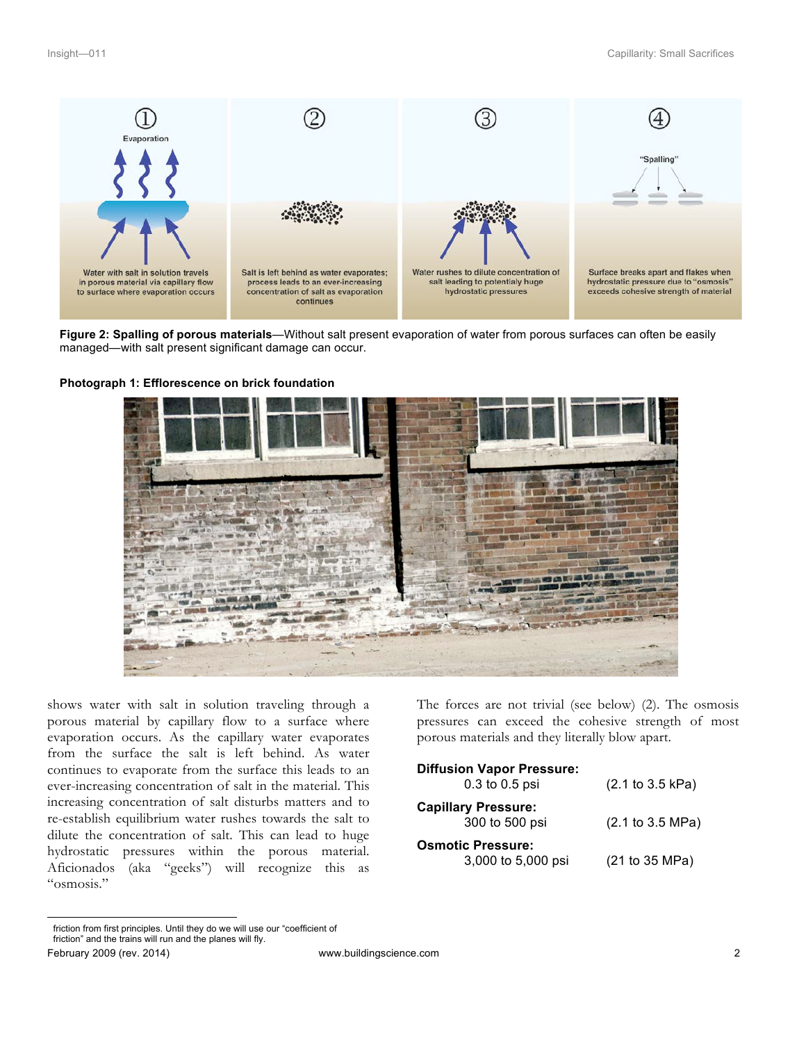

**Figure 2: Spalling of porous materials**—Without salt present evaporation of water from porous surfaces can often be easily managed—with salt present significant damage can occur.





shows water with salt in solution traveling through a porous material by capillary flow to a surface where evaporation occurs. As the capillary water evaporates from the surface the salt is left behind. As water continues to evaporate from the surface this leads to an ever-increasing concentration of salt in the material. This increasing concentration of salt disturbs matters and to re-establish equilibrium water rushes towards the salt to dilute the concentration of salt. This can lead to huge hydrostatic pressures within the porous material. Aficionados (aka "geeks") will recognize this as "osmosis."

The forces are not trivial (see below) (2). The osmosis pressures can exceed the cohesive strength of most porous materials and they literally blow apart.

| <b>Diffusion Vapor Pressure:</b><br>0.3 to 0.5 psi | (2.1 to 3.5 kPa) |
|----------------------------------------------------|------------------|
| <b>Capillary Pressure:</b><br>300 to 500 psi       | (2.1 to 3.5 MPa) |
| <b>Osmotic Pressure:</b><br>3,000 to 5,000 psi     | (21 to 35 MPa)   |

friction from first principles. Until they do we will use our "coefficient of friction" and the trains will run and the planes will fly.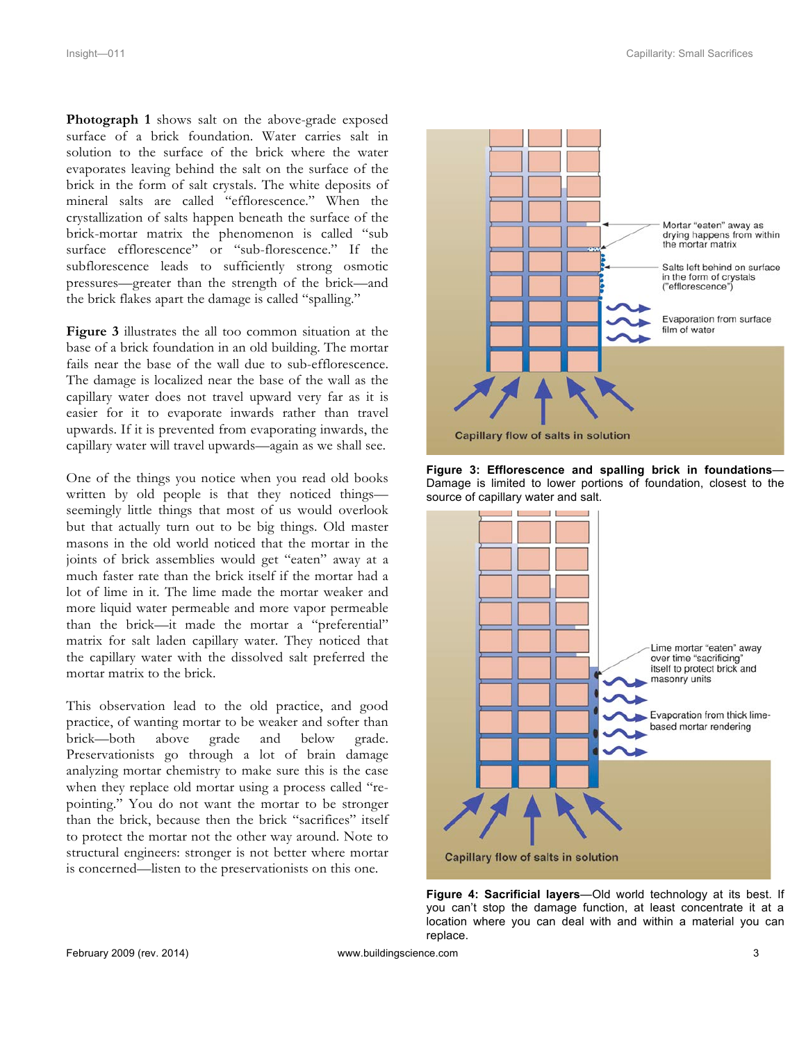**Photograph 1** shows salt on the above-grade exposed surface of a brick foundation. Water carries salt in solution to the surface of the brick where the water evaporates leaving behind the salt on the surface of the brick in the form of salt crystals. The white deposits of mineral salts are called "efflorescence." When the crystallization of salts happen beneath the surface of the brick-mortar matrix the phenomenon is called "sub surface efflorescence" or "sub-florescence." If the subflorescence leads to sufficiently strong osmotic pressures—greater than the strength of the brick—and the brick flakes apart the damage is called "spalling."

**Figure 3** illustrates the all too common situation at the base of a brick foundation in an old building. The mortar fails near the base of the wall due to sub-efflorescence. The damage is localized near the base of the wall as the capillary water does not travel upward very far as it is easier for it to evaporate inwards rather than travel upwards. If it is prevented from evaporating inwards, the capillary water will travel upwards—again as we shall see.

One of the things you notice when you read old books written by old people is that they noticed things seemingly little things that most of us would overlook but that actually turn out to be big things. Old master masons in the old world noticed that the mortar in the joints of brick assemblies would get "eaten" away at a much faster rate than the brick itself if the mortar had a lot of lime in it. The lime made the mortar weaker and more liquid water permeable and more vapor permeable than the brick—it made the mortar a "preferential" matrix for salt laden capillary water. They noticed that the capillary water with the dissolved salt preferred the mortar matrix to the brick.

This observation lead to the old practice, and good practice, of wanting mortar to be weaker and softer than brick—both above grade and below grade. Preservationists go through a lot of brain damage analyzing mortar chemistry to make sure this is the case when they replace old mortar using a process called "repointing." You do not want the mortar to be stronger than the brick, because then the brick "sacrifices" itself to protect the mortar not the other way around. Note to structural engineers: stronger is not better where mortar is concerned—listen to the preservationists on this one.



**Figure 3: Efflorescence and spalling brick in foundations**— Damage is limited to lower portions of foundation, closest to the source of capillary water and salt.



**Figure 4: Sacrificial layers**—Old world technology at its best. If you can't stop the damage function, at least concentrate it at a location where you can deal with and within a material you can replace.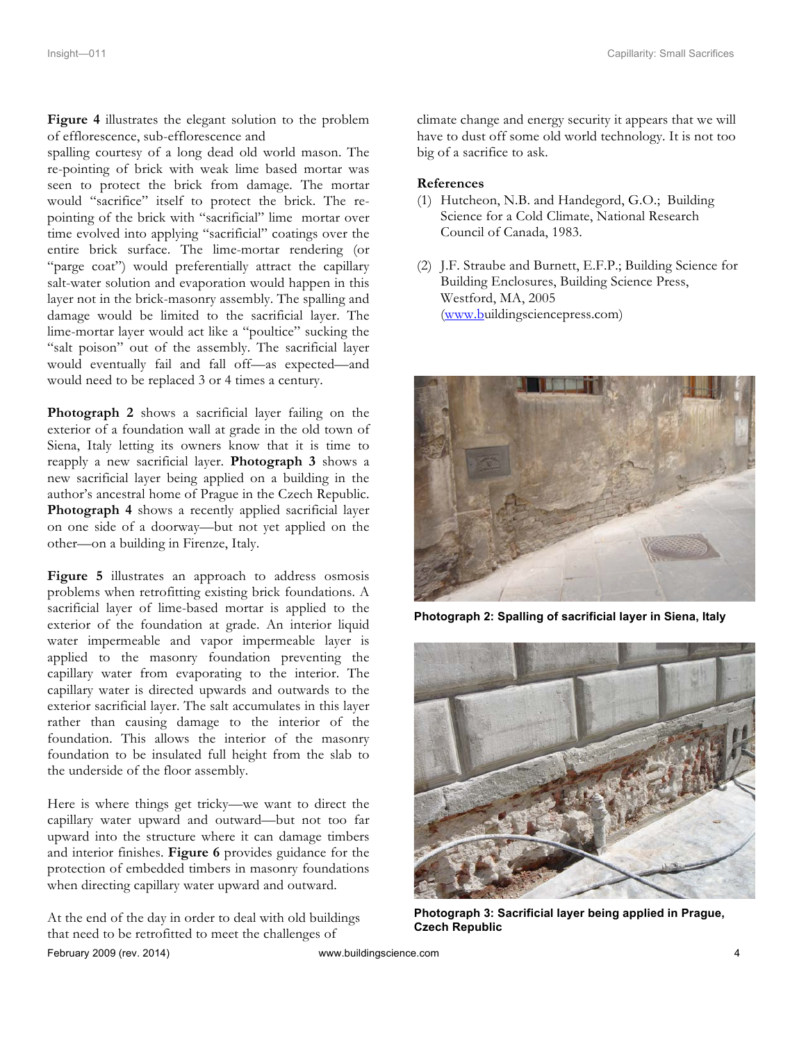**Figure 4** illustrates the elegant solution to the problem of efflorescence, sub-efflorescence and

spalling courtesy of a long dead old world mason. The re-pointing of brick with weak lime based mortar was seen to protect the brick from damage. The mortar would "sacrifice" itself to protect the brick. The repointing of the brick with "sacrificial" lime mortar over time evolved into applying "sacrificial" coatings over the entire brick surface. The lime-mortar rendering (or "parge coat") would preferentially attract the capillary salt-water solution and evaporation would happen in this layer not in the brick-masonry assembly. The spalling and damage would be limited to the sacrificial layer. The lime-mortar layer would act like a "poultice" sucking the "salt poison" out of the assembly. The sacrificial layer would eventually fail and fall off—as expected—and would need to be replaced 3 or 4 times a century.

**Photograph 2** shows a sacrificial layer failing on the exterior of a foundation wall at grade in the old town of Siena, Italy letting its owners know that it is time to reapply a new sacrificial layer. **Photograph 3** shows a new sacrificial layer being applied on a building in the author's ancestral home of Prague in the Czech Republic. **Photograph 4** shows a recently applied sacrificial layer on one side of a doorway—but not yet applied on the other—on a building in Firenze, Italy.

**Figure 5** illustrates an approach to address osmosis problems when retrofitting existing brick foundations. A sacrificial layer of lime-based mortar is applied to the exterior of the foundation at grade. An interior liquid water impermeable and vapor impermeable layer is applied to the masonry foundation preventing the capillary water from evaporating to the interior. The capillary water is directed upwards and outwards to the exterior sacrificial layer. The salt accumulates in this layer rather than causing damage to the interior of the foundation. This allows the interior of the masonry foundation to be insulated full height from the slab to the underside of the floor assembly.

Here is where things get tricky—we want to direct the capillary water upward and outward—but not too far upward into the structure where it can damage timbers and interior finishes. **Figure 6** provides guidance for the protection of embedded timbers in masonry foundations when directing capillary water upward and outward.

February 2009 (rev. 2014) www.buildingscience.com 4 At the end of the day in order to deal with old buildings that need to be retrofitted to meet the challenges of

climate change and energy security it appears that we will have to dust off some old world technology. It is not too big of a sacrifice to ask.

## **References**

- (1) Hutcheon, N.B. and Handegord, G.O.; Building Science for a Cold Climate, National Research Council of Canada, 1983.
- (2) J.F. Straube and Burnett, E.F.P.; Building Science for Building Enclosures, Building Science Press, Westford, MA, 2005 (www.buildingsciencepress.com)



**Photograph 2: Spalling of sacrificial layer in Siena, Italy**



**Photograph 3: Sacrificial layer being applied in Prague, Czech Republic**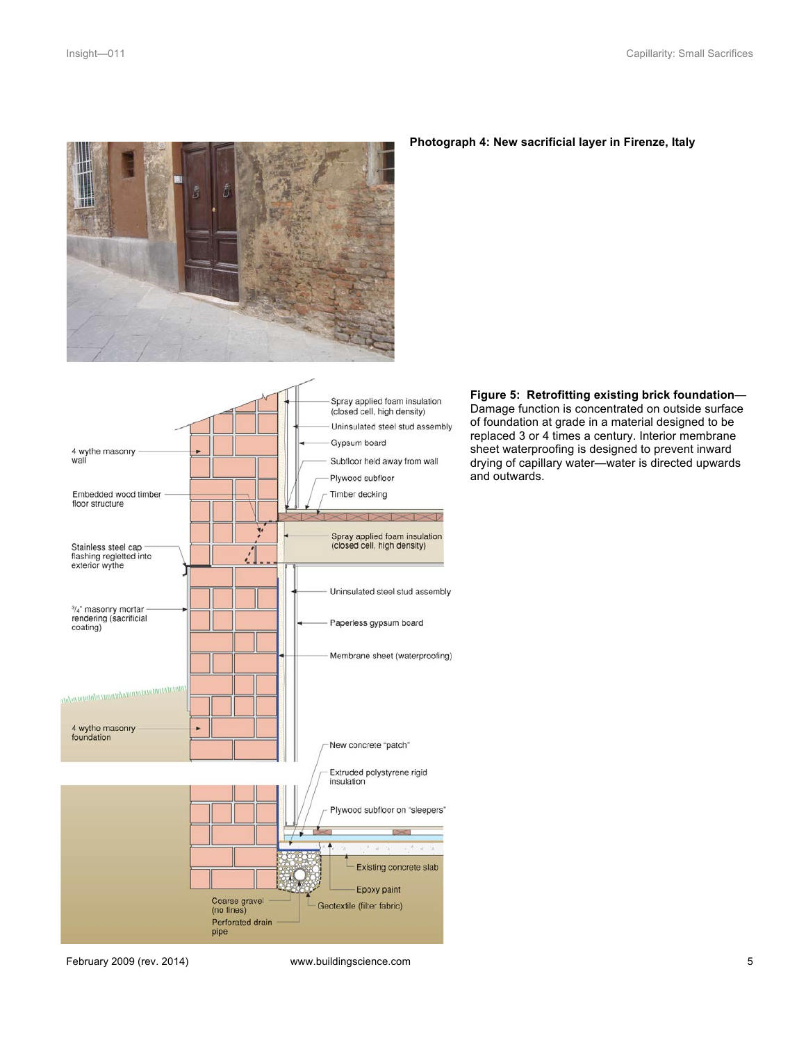

## **Photograph 4: New sacrificial layer in Firenze, Italy**



**Figure 5: Retrofitting existing brick foundation**— Damage function is concentrated on outside surface of foundation at grade in a material designed to be replaced 3 or 4 times a century. Interior membrane sheet waterproofing is designed to prevent inward drying of capillary water—water is directed upwards and outwards.